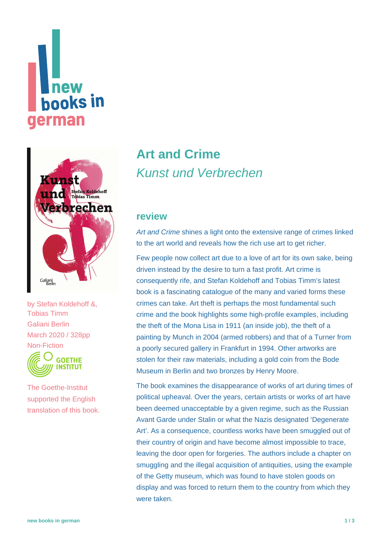# new **hooks in** erman



by [Stefan Koldehoff &,](https://www.new-books-in-german.com/recommendations/?searchInput=Stefan%20Koldehoff%20%26) [Tobias Timm](https://www.new-books-in-german.com/recommendations/?searchInput=Tobias%20Timm%20) Galiani Berlin March 2020 / 328pp Non-Fiction



The Goethe-Institut supported the English translation of this book.

## **[Art and Crime](https://www.new-books-in-german.com/recommendations/art-and-crime/)** Kunst und Verbrechen

#### **review**

Art and Crime shines a light onto the extensive range of crimes linked to the art world and reveals how the rich use art to get richer.

Few people now collect art due to a love of art for its own sake, being driven instead by the desire to turn a fast profit. Art crime is consequently rife, and Stefan Koldehoff and Tobias Timm's latest book is a fascinating catalogue of the many and varied forms these crimes can take. Art theft is perhaps the most fundamental such crime and the book highlights some high-profile examples, including the theft of the Mona Lisa in 1911 (an inside job), the theft of a painting by Munch in 2004 (armed robbers) and that of a Turner from a poorly secured gallery in Frankfurt in 1994. Other artworks are stolen for their raw materials, including a gold coin from the Bode Museum in Berlin and two bronzes by Henry Moore.

The book examines the disappearance of works of art during times of political upheaval. Over the years, certain artists or works of art have been deemed unacceptable by a given regime, such as the Russian Avant Garde under Stalin or what the Nazis designated 'Degenerate Art'. As a consequence, countless works have been smuggled out of their country of origin and have become almost impossible to trace, leaving the door open for forgeries. The authors include a chapter on smuggling and the illegal acquisition of antiquities, using the example of the Getty museum, which was found to have stolen goods on display and was forced to return them to the country from which they were taken.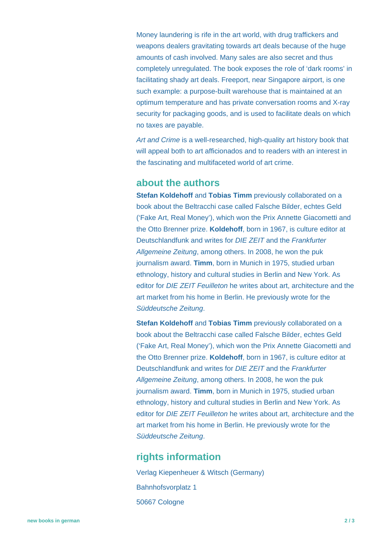Money laundering is rife in the art world, with drug traffickers and weapons dealers gravitating towards art deals because of the huge amounts of cash involved. Many sales are also secret and thus completely unregulated. The book exposes the role of 'dark rooms' in facilitating shady art deals. Freeport, near Singapore airport, is one such example: a purpose-built warehouse that is maintained at an optimum temperature and has private conversation rooms and X-ray security for packaging goods, and is used to facilitate deals on which no taxes are payable.

Art and Crime is a well-researched, high-quality art history book that will appeal both to art afficionados and to readers with an interest in the fascinating and multifaceted world of art crime.

#### **about the authors**

**Stefan Koldehoff and Tobias Timm** previously collaborated on a book about the Beltracchi case called Falsche Bilder, echtes Geld ('Fake Art, Real Money'), which won the Prix Annette Giacometti and the Otto Brenner prize. **Koldehoff**, born in 1967, is culture editor at Deutschlandfunk and writes for DIE ZEIT and the Frankfurter Allgemeine Zeitung, among others. In 2008, he won the puk journalism award. **Timm**, born in Munich in 1975, studied urban ethnology, history and cultural studies in Berlin and New York. As editor for *DIE ZEIT Feuilleton* he writes about art, architecture and the art market from his home in Berlin. He previously wrote for the Süddeutsche Zeitung.

**Stefan Koldehoff and Tobias Timm** previously collaborated on a book about the Beltracchi case called Falsche Bilder, echtes Geld ('Fake Art, Real Money'), which won the Prix Annette Giacometti and the Otto Brenner prize. **Koldehoff**, born in 1967, is culture editor at Deutschlandfunk and writes for DIE ZEIT and the Frankfurter Allgemeine Zeitung, among others. In 2008, he won the puk journalism award. **Timm**, born in Munich in 1975, studied urban ethnology, history and cultural studies in Berlin and New York. As editor for DIE ZEIT Feuilleton he writes about art, architecture and the art market from his home in Berlin. He previously wrote for the Süddeutsche Zeitung.

### **rights information**

Verlag Kiepenheuer & Witsch (Germany) Bahnhofsvorplatz 1 50667 Cologne